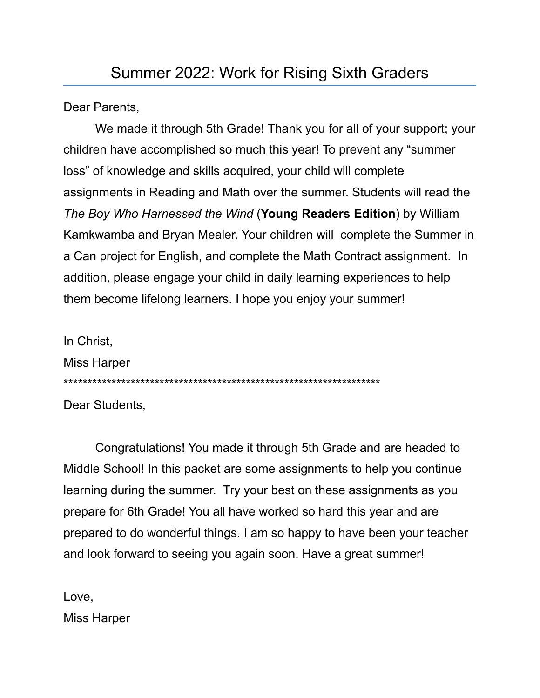Dear Parents,

We made it through 5th Grade! Thank you for all of your support; your children have accomplished so much this year! To prevent any "summer loss" of knowledge and skills acquired, your child will complete assignments in Reading and Math over the summer. Students will read the *The Boy Who Harnessed the Wind* (**Young Readers Edition**) by William Kamkwamba and Bryan Mealer. Your children will complete the Summer in a Can project for English, and complete the Math Contract assignment. In addition, please engage your child in daily learning experiences to help them become lifelong learners. I hope you enjoy your summer!

In Christ, Miss Harper \*\*\*\*\*\*\*\*\*\*\*\*\*\*\*\*\*\*\*\*\*\*\*\*\*\*\*\*\*\*\*\*\*\*\*\*\*\*\*\*\*\*\*\*\*\*\*\*\*\*\*\*\*\*\*\*\*\*\*\*\*\*\*\*\*\* Dear Students,

Congratulations! You made it through 5th Grade and are headed to Middle School! In this packet are some assignments to help you continue learning during the summer. Try your best on these assignments as you prepare for 6th Grade! You all have worked so hard this year and are prepared to do wonderful things. I am so happy to have been your teacher and look forward to seeing you again soon. Have a great summer!

Love, Miss Harper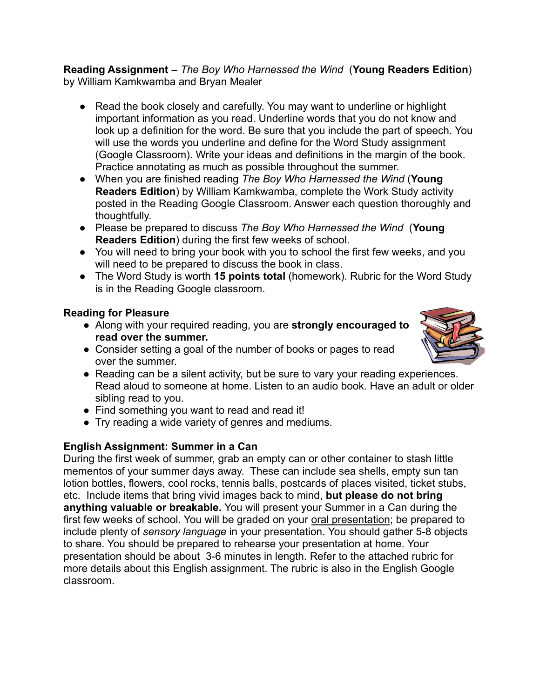**Reading Assignment** *– The Boy Who Harnessed the Wind* (**Young Readers Edition**) by William Kamkwamba and Bryan Mealer

- Read the book closely and carefully. You may want to underline or highlight important information as you read. Underline words that you do not know and look up a definition for the word. Be sure that you include the part of speech. You will use the words you underline and define for the Word Study assignment (Google Classroom). Write your ideas and definitions in the margin of the book. Practice annotating as much as possible throughout the summer.
- When you are finished reading *The Boy Who Harnessed the Wind* (**Young Readers Edition**) by William Kamkwamba, complete the Work Study activity posted in the Reading Google Classroom. Answer each question thoroughly and thoughtfully.
- Please be prepared to discuss *The Boy Who Harnessed the Wind* (**Young Readers Edition**) during the first few weeks of school.
- You will need to bring your book with you to school the first few weeks, and you will need to be prepared to discuss the book in class.
- The Word Study is worth **15 points total** (homework). Rubric for the Word Study is in the Reading Google classroom.

## **Reading for Pleasure**

- Along with your required reading, you are **strongly encouraged to read over the summer.**
- Consider setting a goal of the number of books or pages to read over the summer.



- Reading can be a silent activity, but be sure to vary your reading experiences. Read aloud to someone at home. Listen to an audio book. Have an adult or older sibling read to you.
- Find something you want to read and read it!
- Try reading a wide variety of genres and mediums.

## **English Assignment: Summer in a Can**

During the first week of summer, grab an empty can or other container to stash little mementos of your summer days away. These can include sea shells, empty sun tan lotion bottles, flowers, cool rocks, tennis balls, postcards of places visited, ticket stubs, etc. Include items that bring vivid images back to mind, **but please do not bring anything valuable or breakable.** You will present your Summer in a Can during the first few weeks of school. You will be graded on your oral presentation; be prepared to include plenty of *sensory language* in your presentation. You should gather 5-8 objects to share. You should be prepared to rehearse your presentation at home. Your presentation should be about 3-6 minutes in length. Refer to the attached rubric for more details about this English assignment. The rubric is also in the English Google classroom.